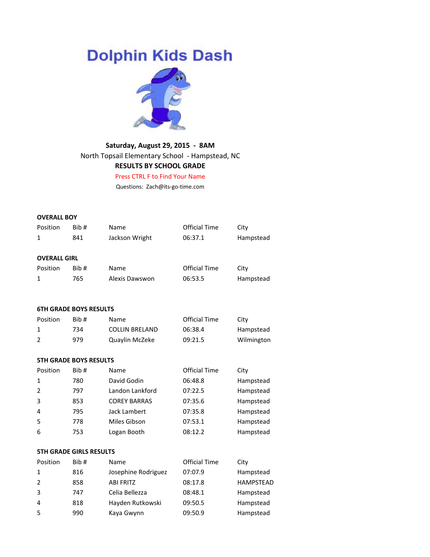# **Dolphin Kids Dash**



# **Saturday, August 29, 2015 - 8AM** North Topsail Elementary School - Hampstead, NC **RESULTS BY SCHOOL GRADE**

Press CTRL F to Find Your Name

Questions: Zach@its-go-time.com

#### **OVERALL BOY**

| Position                      | Bib#                                                                                                                                        | Name           | Official Time | City      |  |
|-------------------------------|---------------------------------------------------------------------------------------------------------------------------------------------|----------------|---------------|-----------|--|
| 1                             | 841                                                                                                                                         | Jackson Wright | 06:37.1       | Hampstead |  |
|                               |                                                                                                                                             |                |               |           |  |
| <b>OVERALL GIRL</b>           |                                                                                                                                             |                |               |           |  |
| Position                      | Bib#                                                                                                                                        | Name           | Official Time | City      |  |
| 1                             | 765                                                                                                                                         | Alexis Dawswon | 06:53.5       | Hampstead |  |
|                               |                                                                                                                                             |                |               |           |  |
|                               |                                                                                                                                             |                |               |           |  |
| <b>6TH GRADE BOYS RESULTS</b> |                                                                                                                                             |                |               |           |  |
|                               | $\mathbb{R}$ is the set of the set of $\mathbb{R}^n$ is the set of $\mathbb{R}^n$ is the set of $\mathbb{R}^n$ is the set of $\mathbb{R}^n$ |                |               |           |  |

| Position | Bib# | Name                  | Official Time | City       |
|----------|------|-----------------------|---------------|------------|
|          | 734  | <b>COLLIN BRELAND</b> | 06:38.4       | Hampstead  |
|          | 979  | Quaylin McZeke        | 09:21.5       | Wilmington |

#### **5TH GRADE BOYS RESULTS**

| Position       | Bib# | Name                | <b>Official Time</b> | City      |
|----------------|------|---------------------|----------------------|-----------|
| 1              | 780  | David Godin         | 06:48.8              | Hampstead |
| $\overline{2}$ | 797  | Landon Lankford     | 07:22.5              | Hampstead |
| 3              | 853  | <b>COREY BARRAS</b> | 07:35.6              | Hampstead |
| $\overline{4}$ | 795  | Jack Lambert        | 07:35.8              | Hampstead |
| 5              | 778  | Miles Gibson        | 07:53.1              | Hampstead |
| 6              | 753  | Logan Booth         | 08:12.2              | Hampstead |

#### **5TH GRADE GIRLS RESULTS**

| Position       | Bib# | Name                | <b>Official Time</b> | City             |
|----------------|------|---------------------|----------------------|------------------|
| 1              | 816  | Josephine Rodriguez | 07:07.9              | Hampstead        |
| 2              | 858  | <b>ABI FRITZ</b>    | 08:17.8              | <b>HAMPSTEAD</b> |
| 3              | 747  | Celia Bellezza      | 08:48.1              | Hampstead        |
| $\overline{4}$ | 818  | Hayden Rutkowski    | 09:50.5              | Hampstead        |
| -5             | 990  | Kaya Gwynn          | 09:50.9              | Hampstead        |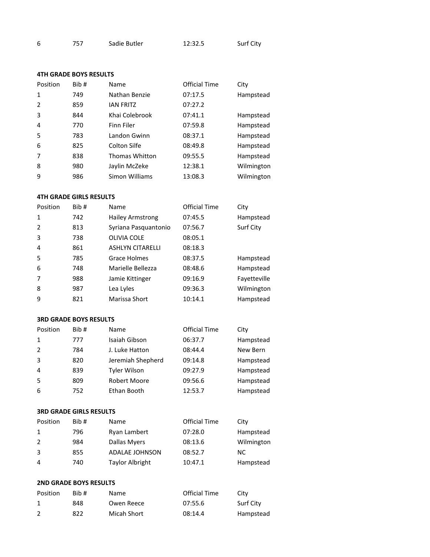|  | 757 | Sadie Butler | 12:32.5 | Surf City |
|--|-----|--------------|---------|-----------|
|--|-----|--------------|---------|-----------|

# **4TH GRADE BOYS RESULTS**

| Position       | Bib# | Name                  | <b>Official Time</b> | City       |
|----------------|------|-----------------------|----------------------|------------|
| 1              | 749  | Nathan Benzie         | 07:17.5              | Hampstead  |
| 2              | 859  | <b>IAN FRITZ</b>      | 07:27.2              |            |
| 3              | 844  | Khai Colebrook        | 07:41.1              | Hampstead  |
| $\overline{4}$ | 770  | Finn Filer            | 07:59.8              | Hampstead  |
| 5              | 783  | Landon Gwinn          | 08:37.1              | Hampstead  |
| 6              | 825  | Colton Silfe          | 08:49.8              | Hampstead  |
| 7              | 838  | <b>Thomas Whitton</b> | 09:55.5              | Hampstead  |
| 8              | 980  | Jaylin McZeke         | 12:38.1              | Wilmington |
| 9              | 986  | Simon Williams        | 13:08.3              | Wilmington |

# **4TH GRADE GIRLS RESULTS**

| Position       | Bib# | Name                    | <b>Official Time</b> | City         |
|----------------|------|-------------------------|----------------------|--------------|
| $\mathbf{1}$   | 742  | <b>Hailey Armstrong</b> | 07:45.5              | Hampstead    |
| 2              | 813  | Syriana Pasquantonio    | 07:56.7              | Surf City    |
| 3              | 738  | OLIVIA COLE             | 08:05.1              |              |
| $\overline{4}$ | 861  | <b>ASHLYN CITARELLI</b> | 08:18.3              |              |
| 5              | 785  | <b>Grace Holmes</b>     | 08:37.5              | Hampstead    |
| 6              | 748  | Marielle Bellezza       | 08:48.6              | Hampstead    |
| 7              | 988  | Jamie Kittinger         | 09:16.9              | Fayetteville |
| 8              | 987  | Lea Lyles               | 09:36.3              | Wilmington   |
| 9              | 821  | Marissa Short           | 10:14.1              | Hampstead    |

#### **3RD GRADE BOYS RESULTS**

| Position       | Bib# | Name                | <b>Official Time</b> | City      |
|----------------|------|---------------------|----------------------|-----------|
| 1              | 777  | Isaiah Gibson       | 06:37.7              | Hampstead |
| 2              | 784  | J. Luke Hatton      | 08:44.4              | New Bern  |
| 3              | 820  | Jeremiah Shepherd   | 09:14.8              | Hampstead |
| $\overline{4}$ | 839  | <b>Tyler Wilson</b> | 09:27.9              | Hampstead |
| -5             | 809  | Robert Moore        | 09:56.6              | Hampstead |
| 6              | 752  | Ethan Booth         | 12:53.7              | Hampstead |

# **3RD GRADE GIRLS RESULTS**

| Position | Bib# | Name                   | Official Time | City       |
|----------|------|------------------------|---------------|------------|
|          | 796  | Ryan Lambert           | 07:28.0       | Hampstead  |
| 2        | 984  | Dallas Myers           | 08:13.6       | Wilmington |
| 3        | 855  | <b>ADALAE JOHNSON</b>  | 08:52.7       | NC.        |
| 4        | 740  | <b>Taylor Albright</b> | 10:47.1       | Hampstead  |

#### **2ND GRADE BOYS RESULTS**

| Position | Bib# | Name        | Official Time | City      |
|----------|------|-------------|---------------|-----------|
|          | 848  | Owen Reece  | 07:55.6       | Surf City |
|          | 822  | Micah Short | 08:14.4       | Hampstead |